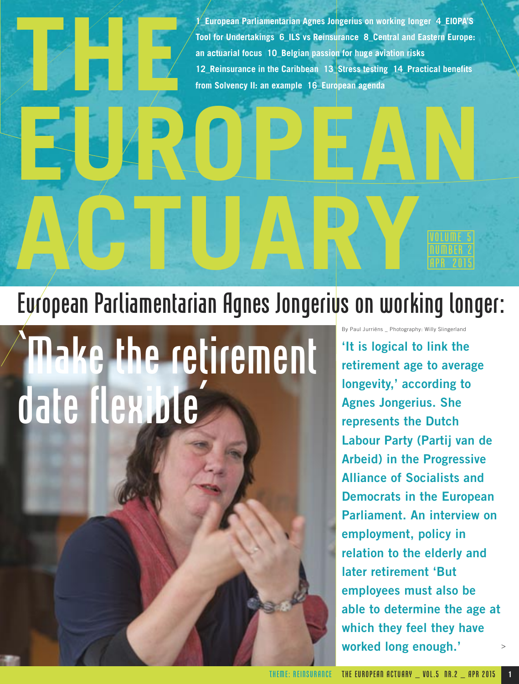**1\_European Parliamentarian Agnes Jongerius on working longer 4\_EIOPA'S Tool for Undertakings 6\_ILS vs Reinsurance 8\_Central and Eastern Europe: an actuarial focus 10\_Belgian passion for huge aviation risks 12\_Reinsurance in the Caribbean 13\_Stress testing 14\_Practical benefits from Solvency II: an example 16\_European agenda**

# ACTUARY European Parliamentarian Agnes Jongerius on working longer:

**EUROPEAN** 

## ke the retirement date flexible'

**THE**

By Paul Jurriëns \_ Photography: Willy Slingerland **'It is logical to link the retirement age to average longevity,' according to Agnes Jongerius. She represents the Dutch Labour Party (Partij van de Arbeid) in the Progressive Alliance of Socialists and Democrats in the European Parliament. An interview on employment, policy in relation to the elderly and later retirement 'But employees must also be able to determine the age at which they feel they have worked long enough.'**  >

NUMBER 2 APR 2015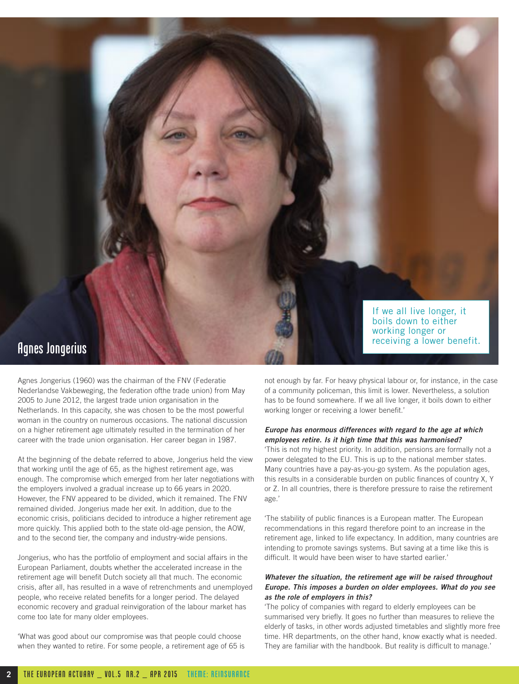

### Agnes Jongerius

Agnes Jongerius (1960) was the chairman of the FNV (Federatie Nederlandse Vakbeweging, the federation ofthe trade union) from May 2005 to June 2012, the largest trade union organisation in the Netherlands. In this capacity, she was chosen to be the most powerful woman in the country on numerous occasions. The national discussion on a higher retirement age ultimately resulted in the termination of her career with the trade union organisation. Her career began in 1987.

At the beginning of the debate referred to above, Jongerius held the view that working until the age of 65, as the highest retirement age, was enough. The compromise which emerged from her later negotiations with the employers involved a gradual increase up to 66 years in 2020. However, the FNV appeared to be divided, which it remained. The FNV remained divided. Jongerius made her exit. In addition, due to the economic crisis, politicians decided to introduce a higher retirement age more quickly. This applied both to the state old-age pension, the AOW, and to the second tier, the company and industry-wide pensions.

Jongerius, who has the portfolio of employment and social affairs in the European Parliament, doubts whether the accelerated increase in the retirement age will benefit Dutch society all that much. The economic crisis, after all, has resulted in a wave of retrenchments and unemployed people, who receive related benefits for a longer period. The delayed economic recovery and gradual reinvigoration of the labour market has come too late for many older employees.

'What was good about our compromise was that people could choose when they wanted to retire. For some people, a retirement age of 65 is not enough by far. For heavy physical labour or, for instance, in the case of a community policeman, this limit is lower. Nevertheless, a solution has to be found somewhere. If we all live longer, it boils down to either working longer or receiving a lower benefit.'

#### **Europe has enormous differences with regard to the age at which employees retire. Is it high time that this was harmonised?**

'This is not my highest priority. In addition, pensions are formally not a power delegated to the EU. This is up to the national member states. Many countries have a pay-as-you-go system. As the population ages, this results in a considerable burden on public finances of country X, Y or Z. In all countries, there is therefore pressure to raise the retirement age.'

'The stability of public finances is a European matter. The European recommendations in this regard therefore point to an increase in the retirement age, linked to life expectancy. In addition, many countries are intending to promote savings systems. But saving at a time like this is difficult. It would have been wiser to have started earlier.'

#### **Whatever the situation, the retirement age will be raised throughout Europe. This imposes a burden on older employees. What do you see as the role of employers in this?**

'The policy of companies with regard to elderly employees can be summarised very briefly. It goes no further than measures to relieve the elderly of tasks, in other words adjusted timetables and slightly more free time. HR departments, on the other hand, know exactly what is needed. They are familiar with the handbook. But reality is difficult to manage.'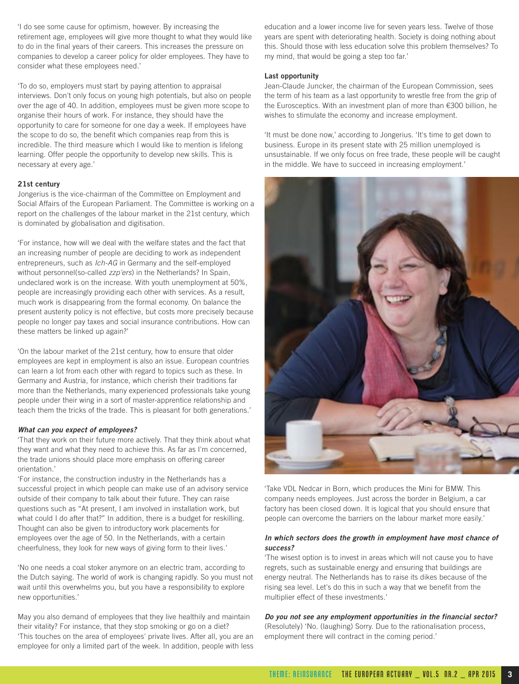'I do see some cause for optimism, however. By increasing the retirement age, employees will give more thought to what they would like to do in the final years of their careers. This increases the pressure on companies to develop a career policy for older employees. They have to consider what these employees need.'

'To do so, employers must start by paying attention to appraisal interviews. Don't only focus on young high potentials, but also on people over the age of 40. In addition, employees must be given more scope to organise their hours of work. For instance, they should have the opportunity to care for someone for one day a week. If employees have the scope to do so, the benefit which companies reap from this is incredible. The third measure which I would like to mention is lifelong learning. Offer people the opportunity to develop new skills. This is necessary at every age.'

#### **21st century**

Jongerius is the vice-chairman of the Committee on Employment and Social Affairs of the European Parliament. The Committee is working on a report on the challenges of the labour market in the 21st century, which is dominated by globalisation and digitisation.

'For instance, how will we deal with the welfare states and the fact that an increasing number of people are deciding to work as independent entrepreneurs, such as Ich-AG in Germany and the self-employed without personnel(so-called zzp'ers) in the Netherlands? In Spain, undeclared work is on the increase. With youth unemployment at 50%, people are increasingly providing each other with services. As a result, much work is disappearing from the formal economy. On balance the present austerity policy is not effective, but costs more precisely because people no longer pay taxes and social insurance contributions. How can these matters be linked up again?'

'On the labour market of the 21st century, how to ensure that older employees are kept in employment is also an issue. European countries can learn a lot from each other with regard to topics such as these. In Germany and Austria, for instance, which cherish their traditions far more than the Netherlands, many experienced professionals take young people under their wing in a sort of master-apprentice relationship and teach them the tricks of the trade. This is pleasant for both generations.'

#### **What can you expect of employees?**

'That they work on their future more actively. That they think about what they want and what they need to achieve this. As far as I'm concerned, the trade unions should place more emphasis on offering career orientation.'

'For instance, the construction industry in the Netherlands has a successful project in which people can make use of an advisory service outside of their company to talk about their future. They can raise questions such as "At present, I am involved in installation work, but what could I do after that?" In addition, there is a budget for reskilling. Thought can also be given to introductory work placements for employees over the age of 50. In the Netherlands, with a certain cheerfulness, they look for new ways of giving form to their lives.'

'No one needs a coal stoker anymore on an electric tram, according to the Dutch saying. The world of work is changing rapidly. So you must not wait until this overwhelms you, but you have a responsibility to explore new opportunities.'

May you also demand of employees that they live healthily and maintain their vitality? For instance, that they stop smoking or go on a diet? 'This touches on the area of employees' private lives. After all, you are an employee for only a limited part of the week. In addition, people with less

education and a lower income live for seven years less. Twelve of those years are spent with deteriorating health. Society is doing nothing about this. Should those with less education solve this problem themselves? To my mind, that would be going a step too far.'

#### **Last opportunity**

Jean-Claude Juncker, the chairman of the European Commission, sees the term of his team as a last opportunity to wrestle free from the grip of the Eurosceptics. With an investment plan of more than €300 billion, he wishes to stimulate the economy and increase employment.

'It must be done now,' according to Jongerius. 'It's time to get down to business. Europe in its present state with 25 million unemployed is unsustainable. If we only focus on free trade, these people will be caught in the middle. We have to succeed in increasing employment.'



'Take VDL Nedcar in Born, which produces the Mini for BMW. This company needs employees. Just across the border in Belgium, a car factory has been closed down. It is logical that you should ensure that people can overcome the barriers on the labour market more easily.'

#### **In which sectors does the growth in employment have most chance of success?**

'The wisest option is to invest in areas which will not cause you to have regrets, such as sustainable energy and ensuring that buildings are energy neutral. The Netherlands has to raise its dikes because of the rising sea level. Let's do this in such a way that we benefit from the multiplier effect of these investments.'

**Do you not see any employment opportunities in the financial sector?** (Resolutely) 'No. (laughing) Sorry. Due to the rationalisation process, employment there will contract in the coming period.'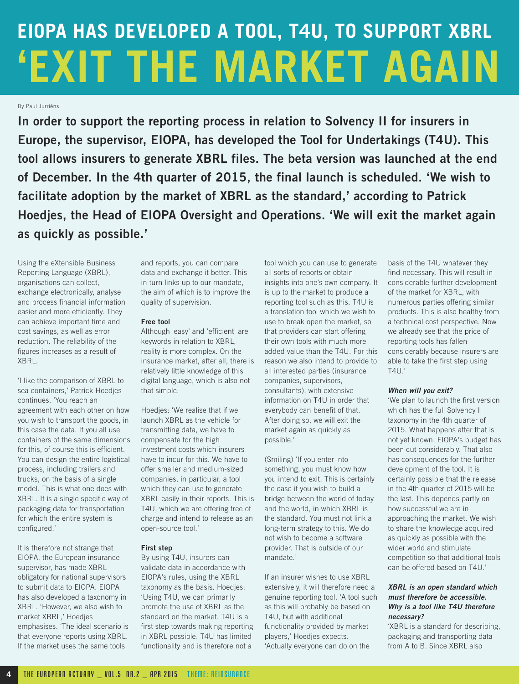### **EIOPA HAS DEVELOPED A TOOL, T4U, TO SUPPORT XBRL 'EXIT THE MARKET AGAIN**

By Paul Jurriëns

**In order to support the reporting process in relation to Solvency II for insurers in Europe, the supervisor, EIOPA, has developed the Tool for Undertakings (T4U). This tool allows insurers to generate XBRL files. The beta version was launched at the end of December. In the 4th quarter of 2015, the final launch is scheduled. 'We wish to facilitate adoption by the market of XBRL as the standard,' according to Patrick Hoedjes, the Head of EIOPA Oversight and Operations. 'We will exit the market again as quickly as possible.'**

Using the eXtensible Business Reporting Language (XBRL), organisations can collect, exchange electronically, analyse and process financial information easier and more efficiently. They can achieve important time and cost savings, as well as error reduction. The reliability of the figures increases as a result of XBRL.

'I like the comparison of XBRL to sea containers,' Patrick Hoedjes continues. 'You reach an agreement with each other on how you wish to transport the goods, in this case the data. If you all use containers of the same dimensions for this, of course this is efficient. You can design the entire logistical process, including trailers and trucks, on the basis of a single model. This is what one does with XBRL. It is a single specific way of packaging data for transportation for which the entire system is configured.'

It is therefore not strange that EIOPA, the European insurance supervisor, has made XBRL obligatory for national supervisors to submit data to EIOPA. EIOPA has also developed a taxonomy in XBRL. 'However, we also wish to market XBRL,' Hoedjes emphasises. 'The ideal scenario is that everyone reports using XBRL. If the market uses the same tools

and reports, you can compare data and exchange it better. This in turn links up to our mandate, the aim of which is to improve the quality of supervision.

#### **Free tool**

Although 'easy' and 'efficient' are keywords in relation to XBRL, reality is more complex. On the insurance market, after all, there is relatively little knowledge of this digital language, which is also not that simple.

Hoedjes: 'We realise that if we launch XBRL as the vehicle for transmitting data, we have to compensate for the high investment costs which insurers have to incur for this. We have to offer smaller and medium-sized companies, in particular, a tool which they can use to generate XBRL easily in their reports. This is T4U, which we are offering free of charge and intend to release as an open-source tool.'

#### **First step**

By using T4U, insurers can validate data in accordance with EIOPA's rules, using the XBRL taxonomy as the basis. Hoedjes: 'Using T4U, we can primarily promote the use of XBRL as the standard on the market. T4U is a first step towards making reporting in XBRL possible. T4U has limited functionality and is therefore not a

tool which you can use to generate all sorts of reports or obtain

insights into one's own company. It is up to the market to produce a reporting tool such as this. T4U is a translation tool which we wish to use to break open the market, so that providers can start offering their own tools with much more added value than the T4U. For this reason we also intend to provide to all interested parties (insurance companies, supervisors, consultants), with extensive information on T4U in order that everybody can benefit of that. After doing so, we will exit the market again as quickly as possible.'

(Smiling) 'If you enter into something, you must know how you intend to exit. This is certainly the case if you wish to build a bridge between the world of today and the world, in which XBRL is the standard. You must not link a long-term strategy to this. We do not wish to become a software provider. That is outside of our mandate.'

If an insurer wishes to use XBRL extensively, it will therefore need a genuine reporting tool. 'A tool such as this will probably be based on T4U, but with additional functionality provided by market players,' Hoedjes expects. 'Actually everyone can do on the

basis of the T4U whatever they find necessary. This will result in considerable further development of the market for XBRL, with numerous parties offering similar products. This is also healthy from a technical cost perspective. Now we already see that the price of reporting tools has fallen considerably because insurers are able to take the first step using T4U.'

#### **When will you exit?**

'We plan to launch the first version which has the full Solvency II taxonomy in the 4th quarter of 2015. What happens after that is not yet known. EIOPA's budget has been cut considerably. That also has consequences for the further development of the tool. It is certainly possible that the release in the 4th quarter of 2015 will be the last. This depends partly on how successful we are in approaching the market. We wish to share the knowledge acquired as quickly as possible with the wider world and stimulate competition so that additional tools can be offered based on T4U.'

#### **XBRL is an open standard which must therefore be accessible. Why is a tool like T4U therefore necessary?**

'XBRL is a standard for describing, packaging and transporting data from A to B. Since XBRL also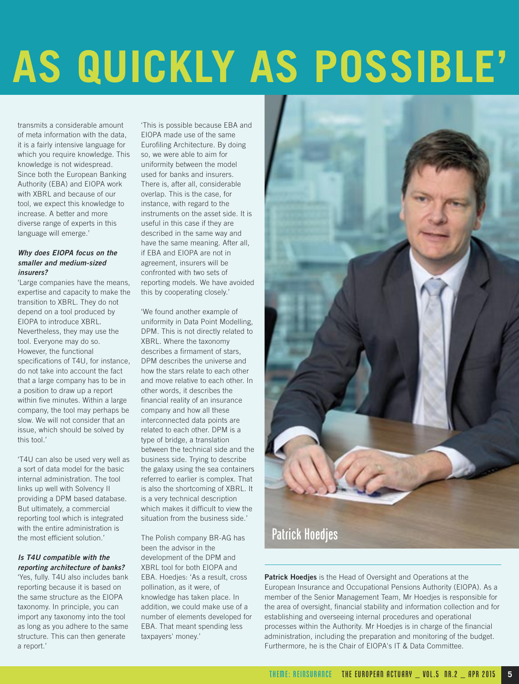## **AS QUICKLY AS POSSIBLE'**

transmits a considerable amount of meta information with the data, it is a fairly intensive language for which you require knowledge. This knowledge is not widespread. Since both the European Banking Authority (EBA) and EIOPA work with XBRL and because of our tool, we expect this knowledge to increase. A better and more diverse range of experts in this language will emerge.'

#### **Why does EIOPA focus on the smaller and medium-sized insurers?**

'Large companies have the means, expertise and capacity to make the transition to XBRL. They do not depend on a tool produced by EIOPA to introduce XBRL. Nevertheless, they may use the tool. Everyone may do so. However, the functional specifications of T4U, for instance, do not take into account the fact that a large company has to be in a position to draw up a report within five minutes. Within a large company, the tool may perhaps be slow. We will not consider that an issue, which should be solved by this tool.'

'T4U can also be used very well as a sort of data model for the basic internal administration. The tool links up well with Solvency II providing a DPM based database. But ultimately, a commercial reporting tool which is integrated with the entire administration is the most efficient solution.'

#### **Is T4U compatible with the reporting architecture of banks?**

'Yes, fully. T4U also includes bank reporting because it is based on the same structure as the EIOPA taxonomy. In principle, you can import any taxonomy into the tool as long as you adhere to the same structure. This can then generate a report.'

'This is possible because EBA and EIOPA made use of the same Eurofiling Architecture. By doing so, we were able to aim for uniformity between the model used for banks and insurers. There is, after all, considerable overlap. This is the case, for instance, with regard to the instruments on the asset side. It is useful in this case if they are described in the same way and have the same meaning. After all, if EBA and EIOPA are not in agreement, insurers will be confronted with two sets of reporting models. We have avoided this by cooperating closely.'

'We found another example of uniformity in Data Point Modelling, DPM. This is not directly related to XBRL. Where the taxonomy describes a firmament of stars, DPM describes the universe and how the stars relate to each other and move relative to each other. In other words, it describes the financial reality of an insurance company and how all these interconnected data points are related to each other. DPM is a type of bridge, a translation between the technical side and the business side. Trying to describe the galaxy using the sea containers referred to earlier is complex. That is also the shortcoming of XBRL. It is a very technical description which makes it difficult to view the situation from the business side.'

The Polish company BR-AG has been the advisor in the development of the DPM and XBRL tool for both EIOPA and EBA. Hoedjes: 'As a result, cross pollination, as it were, of knowledge has taken place. In addition, we could make use of a number of elements developed for EBA. That meant spending less taxpayers' money.'



**Patrick Hoedjes** is the Head of Oversight and Operations at the European Insurance and Occupational Pensions Authority (EIOPA). As a member of the Senior Management Team, Mr Hoedjes is responsible for the area of oversight, financial stability and information collection and for establishing and overseeing internal procedures and operational processes within the Authority. Mr Hoedjes is in charge of the financial administration, including the preparation and monitoring of the budget. Furthermore, he is the Chair of EIOPA's IT & Data Committee.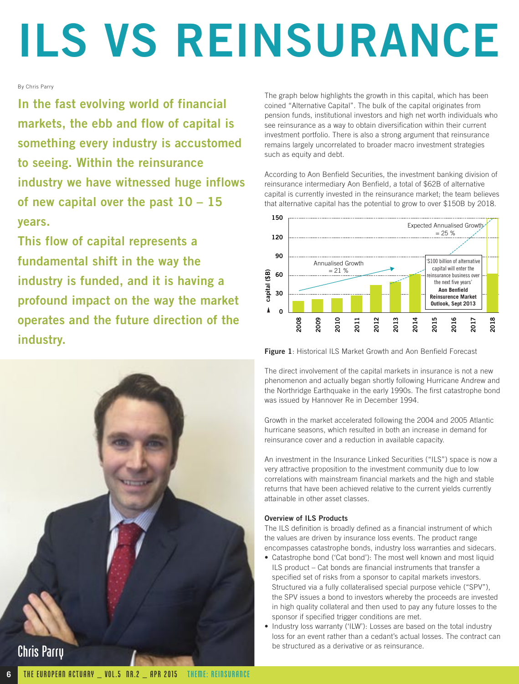## **ILS VS REINSURANCE**

#### By Chris Parry

**In the fast evolving world of financial markets, the ebb and flow of capital is something every industry is accustomed to seeing. Within the reinsurance industry we have witnessed huge inflows of new capital over the past 10 – 15 years.** 

**This flow of capital represents a fundamental shift in the way the industry is funded, and it is having a profound impact on the way the market operates and the future direction of the industry.** 



The graph below highlights the growth in this capital, which has been coined "Alternative Capital". The bulk of the capital originates from pension funds, institutional investors and high net worth individuals who see reinsurance as a way to obtain diversification within their current investment portfolio. There is also a strong argument that reinsurance remains largely uncorrelated to broader macro investment strategies such as equity and debt.

According to Aon Benfield Securities, the investment banking division of reinsurance intermediary Aon Benfield, a total of \$62B of alternative capital is currently invested in the reinsurance market; the team believes that alternative capital has the potential to grow to over \$150B by 2018.



**Figure 1**: Historical ILS Market Growth and Aon Benfield Forecast

The direct involvement of the capital markets in insurance is not a new phenomenon and actually began shortly following Hurricane Andrew and the Northridge Earthquake in the early 1990s. The first catastrophe bond was issued by Hannover Re in December 1994.

Growth in the market accelerated following the 2004 and 2005 Atlantic hurricane seasons, which resulted in both an increase in demand for reinsurance cover and a reduction in available capacity.

An investment in the Insurance Linked Securities ("ILS") space is now a very attractive proposition to the investment community due to low correlations with mainstream financial markets and the high and stable returns that have been achieved relative to the current yields currently attainable in other asset classes.

#### **Overview of ILS Products**

The ILS definition is broadly defined as a financial instrument of which the values are driven by insurance loss events. The product range encompasses catastrophe bonds, industry loss warranties and sidecars.

- Catastrophe bond ('Cat bond'): The most well known and most liquid ILS product – Cat bonds are financial instruments that transfer a specified set of risks from a sponsor to capital markets investors. Structured via a fully collateralised special purpose vehicle ("SPV"), the SPV issues a bond to investors whereby the proceeds are invested in high quality collateral and then used to pay any future losses to the sponsor if specified trigger conditions are met.
- Industry loss warranty ('ILW'): Losses are based on the total industry loss for an event rather than a cedant's actual losses. The contract can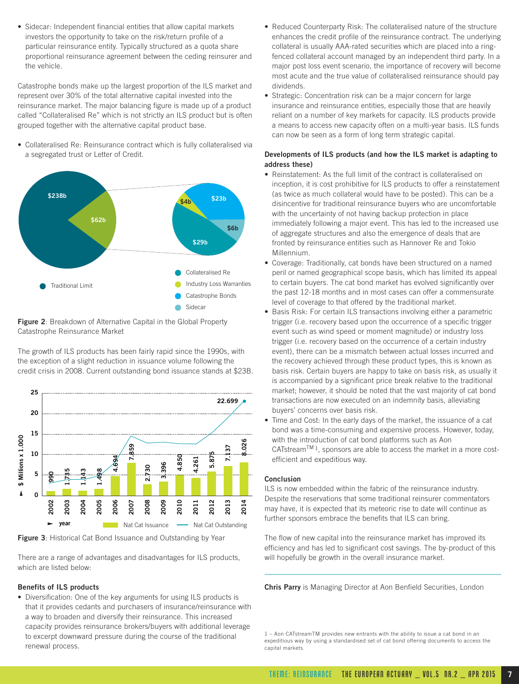• Sidecar: Independent financial entities that allow capital markets investors the opportunity to take on the risk/return profile of a particular reinsurance entity. Typically structured as a quota share proportional reinsurance agreement between the ceding reinsurer and the vehicle.

Catastrophe bonds make up the largest proportion of the ILS market and represent over 30% of the total alternative capital invested into the reinsurance market. The major balancing figure is made up of a product called "Collateralised Re" which is not strictly an ILS product but is often grouped together with the alternative capital product base.

• Collateralised Re: Reinsurance contract which is fully collateralised via a segregated trust or Letter of Credit.



**Figure 2**: Breakdown of Alternative Capital in the Global Property Catastrophe Reinsurance Market

The growth of ILS products has been fairly rapid since the 1990s, with the exception of a slight reduction in issuance volume following the credit crisis in 2008. Current outstanding bond issuance stands at \$23B.



**Figure 3**: Historical Cat Bond Issuance and Outstanding by Year

There are a range of advantages and disadvantages for ILS products, which are listed below:

#### **Benefits of ILS products**

• Diversification: One of the key arguments for using ILS products is that it provides cedants and purchasers of insurance/reinsurance with a way to broaden and diversify their reinsurance. This increased capacity provides reinsurance brokers/buyers with additional leverage to excerpt downward pressure during the course of the traditional renewal process.

- Reduced Counterparty Risk: The collateralised nature of the structure enhances the credit profile of the reinsurance contract. The underlying collateral is usually AAA-rated securities which are placed into a ringfenced collateral account managed by an independent third party. In a major post loss event scenario, the importance of recovery will become most acute and the true value of collateralised reinsurance should pay dividends.
- Strategic: Concentration risk can be a major concern for large insurance and reinsurance entities, especially those that are heavily reliant on a number of key markets for capacity. ILS products provide a means to access new capacity often on a multi-year basis. ILS funds can now be seen as a form of long term strategic capital.

#### **Developments of ILS products (and how the ILS market is adapting to address these)**

- Reinstatement: As the full limit of the contract is collateralised on inception, it is cost prohibitive for ILS products to offer a reinstatement (as twice as much collateral would have to be posted). This can be a disincentive for traditional reinsurance buyers who are uncomfortable with the uncertainty of not having backup protection in place immediately following a major event. This has led to the increased use of aggregate structures and also the emergence of deals that are fronted by reinsurance entities such as Hannover Re and Tokio Millennium.
- Coverage: Traditionally, cat bonds have been structured on a named peril or named geographical scope basis, which has limited its appeal to certain buyers. The cat bond market has evolved significantly over the past 12-18 months and in most cases can offer a commensurate level of coverage to that offered by the traditional market.
- Basis Risk: For certain ILS transactions involving either a parametric trigger (i.e. recovery based upon the occurrence of a specific trigger event such as wind speed or moment magnitude) or industry loss trigger (i.e. recovery based on the occurrence of a certain industry event), there can be a mismatch between actual losses incurred and the recovery achieved through these product types, this is known as basis risk. Certain buyers are happy to take on basis risk, as usually it is accompanied by a significant price break relative to the traditional market; however, it should be noted that the vast majority of cat bond transactions are now executed on an indemnity basis, alleviating buyers' concerns over basis risk.
- Time and Cost: In the early days of the market, the issuance of a cat bond was a time-consuming and expensive process. However, today, with the introduction of cat bond platforms such as Aon CATstream<sup>TM 1</sup>, sponsors are able to access the market in a more costefficient and expeditious way.

#### **Conclusion**

ILS is now embedded within the fabric of the reinsurance industry. Despite the reservations that some traditional reinsurer commentators may have, it is expected that its meteoric rise to date will continue as further sponsors embrace the benefits that ILS can bring.

The flow of new capital into the reinsurance market has improved its efficiency and has led to significant cost savings. The by-product of this will hopefully be growth in the overall insurance market.

**Chris Parry** is Managing Director at Aon Benfield Securities, London

<sup>1 –</sup> Aon CATstreamTM provides new entrants with the ability to issue a cat bond in an expeditious way by using a standardised set of cat bond offering documents to access the capital markets.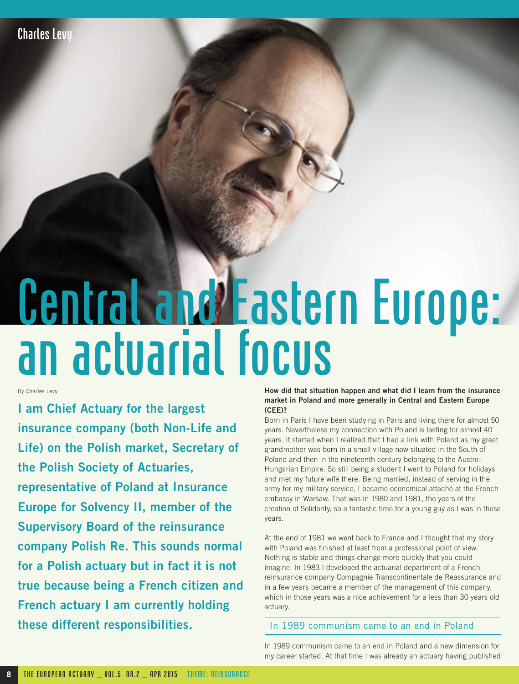## Central and Eastern Europe: an actuarial focus

By Charles Levy

**I am Chief Actuary for the largest insurance company (both Non-Life and Life) on the Polish market, Secretary of the Polish Society of Actuaries, representative of Poland at Insurance Europe for Solvency II, member of the Supervisory Board of the reinsurance company Polish Re. This sounds normal for a Polish actuary but in fact it is not true because being a French citizen and French actuary I am currently holding these different responsibilities.**

#### **How did that situation happen and what did I learn from the insurance market in Poland and more generally in Central and Eastern Europe (CEE)?**

Born in Paris I have been studying in Paris and living there for almost 50 years. Nevertheless my connection with Poland is lasting for almost 40 years. It started when I realized that I had a link with Poland as my great grandmother was born in a small village now situated in the South of Poland and then in the nineteenth century belonging to the Austro-Hungarian Empire. So still being a student I went to Poland for holidays and met my future wife there. Being married, instead of serving in the army for my military service, I became economical attaché at the French embassy in Warsaw. That was in 1980 and 1981, the years of the creation of Solidarity, so a fantastic time for a young guy as I was in those years.

At the end of 1981 we went back to France and I thought that my story with Poland was finished at least from a professional point of view. Nothing is stable and things change more quickly that you could imagine. In 1983 I developed the actuarial department of a French reinsurance company Compagnie Transcontinentale de Reassurance and in a few years became a member of the management of this company, which in those years was a nice achievement for a less than 30 years old actuary.

#### In 1989 communism came to an end in Poland

In 1989 communism came to an end in Poland and a new dimension for my career started. At that time I was already an actuary having published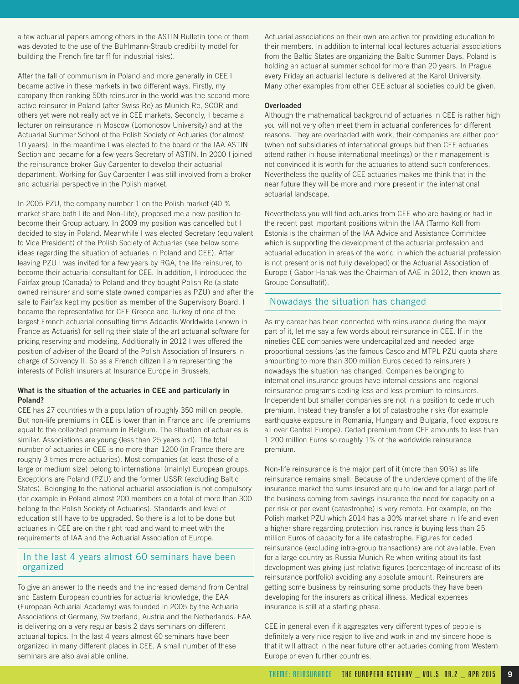a few actuarial papers among others in the ASTIN Bulletin (one of them was devoted to the use of the Bühlmann-Straub credibility model for building the French fire tariff for industrial risks).

After the fall of communism in Poland and more generally in CEE I became active in these markets in two different ways. Firstly, my company then ranking 50th reinsurer in the world was the second more active reinsurer in Poland (after Swiss Re) as Munich Re, SCOR and others yet were not really active in CEE markets. Secondly, I became a lecturer on reinsurance in Moscow (Lomonosov University) and at the Actuarial Summer School of the Polish Society of Actuaries (for almost 10 years). In the meantime I was elected to the board of the IAA ASTIN Section and became for a few years Secretary of ASTIN. In 2000 I joined the reinsurance broker Guy Carpenter to develop their actuarial department. Working for Guy Carpenter I was still involved from a broker and actuarial perspective in the Polish market.

In 2005 PZU, the company number 1 on the Polish market (40 % market share both Life and Non-Life), proposed me a new position to become their Group actuary. In 2009 my position was cancelled but I decided to stay in Poland. Meanwhile I was elected Secretary (equivalent to Vice President) of the Polish Society of Actuaries (see below some ideas regarding the situation of actuaries in Poland and CEE). After leaving PZU I was invited for a few years by RGA, the life reinsurer, to become their actuarial consultant for CEE. In addition, I introduced the Fairfax group (Canada) to Poland and they bought Polish Re (a state owned reinsurer and some state owned companies as PZU) and after the sale to Fairfax kept my position as member of the Supervisory Board. I became the representative for CEE Greece and Turkey of one of the largest French actuarial consulting firms Addactis Worldwide (known in France as Actuaris) for selling their state of the art actuarial software for pricing reserving and modeling. Additionally in 2012 I was offered the position of adviser of the Board of the Polish Association of Insurers in charge of Solvency II. So as a French citizen I am representing the interests of Polish insurers at Insurance Europe in Brussels.

#### **What is the situation of the actuaries in CEE and particularly in Poland?**

CEE has 27 countries with a population of roughly 350 million people. But non-life premiums in CEE is lower than in France and life premiums equal to the collected premium in Belgium. The situation of actuaries is similar. Associations are young (less than 25 years old). The total number of actuaries in CEE is no more than 1200 (in France there are roughly 3 times more actuaries). Most companies (at least those of a large or medium size) belong to international (mainly) European groups. Exceptions are Poland (PZU) and the former USSR (excluding Baltic States). Belonging to the national actuarial association is not compulsory (for example in Poland almost 200 members on a total of more than 300 belong to the Polish Society of Actuaries). Standards and level of education still have to be upgraded. So there is a lot to be done but actuaries in CEE are on the right road and want to meet with the requirements of IAA and the Actuarial Association of Europe.

#### In the last 4 years almost 60 seminars have been organized

To give an answer to the needs and the increased demand from Central and Eastern European countries for actuarial knowledge, the EAA (European Actuarial Academy) was founded in 2005 by the Actuarial Associations of Germany, Switzerland, Austria and the Netherlands. EAA is delivering on a very regular basis 2 days seminars on different actuarial topics. In the last 4 years almost 60 seminars have been organized in many different places in CEE. A small number of these seminars are also available online.

Actuarial associations on their own are active for providing education to their members. In addition to internal local lectures actuarial associations from the Baltic States are organizing the Baltic Summer Days. Poland is holding an actuarial summer school for more than 20 years. In Prague every Friday an actuarial lecture is delivered at the Karol University. Many other examples from other CEE actuarial societies could be given.

#### **Overloaded**

Although the mathematical background of actuaries in CEE is rather high you will not very often meet them in actuarial conferences for different reasons. They are overloaded with work, their companies are either poor (when not subsidiaries of international groups but then CEE actuaries attend rather in house international meetings) or their management is not convinced it is worth for the actuaries to attend such conferences. Nevertheless the quality of CEE actuaries makes me think that in the near future they will be more and more present in the international actuarial landscape.

Nevertheless you will find actuaries from CEE who are having or had in the recent past important positions within the IAA (Tarmo Koll from Estonia is the chairman of the IAA Advice and Assistance Committee which is supporting the development of the actuarial profession and actuarial education in areas of the world in which the actuarial profession is not present or is not fully developed) or the Actuarial Association of Europe ( Gabor Hanak was the Chairman of AAE in 2012, then known as Groupe Consultatif).

#### Nowadays the situation has changed

As my career has been connected with reinsurance during the major part of it, let me say a few words about reinsurance in CEE. If in the nineties CEE companies were undercapitalized and needed large proportional cessions (as the famous Casco and MTPL PZU quota share amounting to more than 300 million Euros ceded to reinsurers ) nowadays the situation has changed. Companies belonging to international insurance groups have internal cessions and regional reinsurance programs ceding less and less premium to reinsurers. Independent but smaller companies are not in a position to cede much premium. Instead they transfer a lot of catastrophe risks (for example earthquake exposure in Romania, Hungary and Bulgaria, flood exposure all over Central Europe). Ceded premium from CEE amounts to less than 1 200 million Euros so roughly 1% of the worldwide reinsurance premium.

Non-life reinsurance is the major part of it (more than 90%) as life reinsurance remains small. Because of the underdevelopment of the life insurance market the sums insured are quite low and for a large part of the business coming from savings insurance the need for capacity on a per risk or per event (catastrophe) is very remote. For example, on the Polish market PZU which 2014 has a 30% market share in life and even a higher share regarding protection insurance is buying less than 25 million Euros of capacity for a life catastrophe. Figures for ceded reinsurance (excluding intra-group transactions) are not available. Even for a large country as Russia Munich Re when writing about its fast development was giving just relative figures (percentage of increase of its reinsurance portfolio) avoiding any absolute amount. Reinsurers are getting some business by reinsuring some products they have been developing for the insurers as critical illness. Medical expenses insurance is still at a starting phase.

CEE in general even if it aggregates very different types of people is definitely a very nice region to live and work in and my sincere hope is that it will attract in the near future other actuaries coming from Western Europe or even further countries.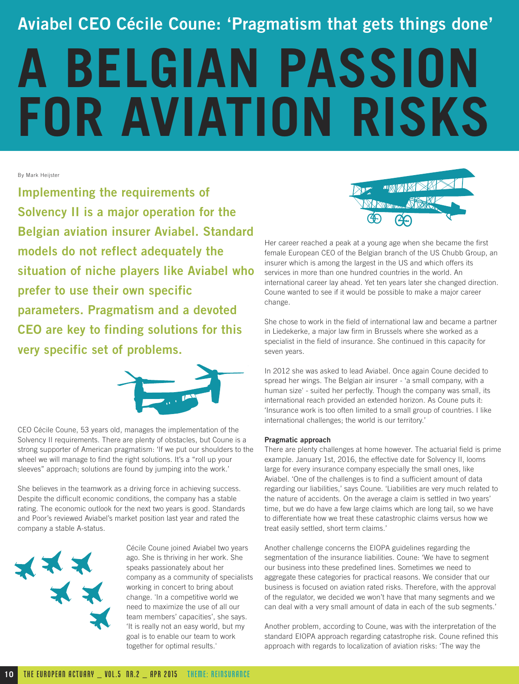### **Aviabel CEO Cécile Coune: 'Pragmatism that gets things done'**

# **A BELGIAN PASSION FOR AVIATION RISKS**

By Mark Heijster

**Implementing the requirements of Solvency II is a major operation for the Belgian aviation insurer Aviabel. Standard models do not reflect adequately the situation of niche players like Aviabel who prefer to use their own specific parameters. Pragmatism and a devoted CEO are key to finding solutions for this very specific set of problems.** 



CEO Cécile Coune, 53 years old, manages the implementation of the Solvency II requirements. There are plenty of obstacles, but Coune is a strong supporter of American pragmatism: 'If we put our shoulders to the wheel we will manage to find the right solutions. It's a "roll up your sleeves" approach; solutions are found by jumping into the work.'

She believes in the teamwork as a driving force in achieving success. Despite the difficult economic conditions, the company has a stable rating. The economic outlook for the next two years is good. Standards and Poor's reviewed Aviabel's market position last year and rated the company a stable A-status.



Cécile Coune joined Aviabel two years ago. She is thriving in her work. She speaks passionately about her company as a community of specialists working in concert to bring about change. 'In a competitive world we need to maximize the use of all our team members' capacities', she says. 'It is really not an easy world, but my goal is to enable our team to work together for optimal results.'



Her career reached a peak at a young age when she became the first female European CEO of the Belgian branch of the US Chubb Group, an insurer which is among the largest in the US and which offers its services in more than one hundred countries in the world. An international career lay ahead. Yet ten years later she changed direction. Coune wanted to see if it would be possible to make a major career change.

She chose to work in the field of international law and became a partner in Liedekerke, a major law firm in Brussels where she worked as a specialist in the field of insurance. She continued in this capacity for seven years.

In 2012 she was asked to lead Aviabel. Once again Coune decided to spread her wings. The Belgian air insurer - 'a small company, with a human size' - suited her perfectly. Though the company was small, its international reach provided an extended horizon. As Coune puts it: 'Insurance work is too often limited to a small group of countries. I like international challenges; the world is our territory.'

#### **Pragmatic approach**

There are plenty challenges at home however. The actuarial field is prime example. January 1st, 2016, the effective date for Solvency II, looms large for every insurance company especially the small ones, like Aviabel. 'One of the challenges is to find a sufficient amount of data regarding our liabilities,' says Coune. 'Liabilities are very much related to the nature of accidents. On the average a claim is settled in two years' time, but we do have a few large claims which are long tail, so we have to differentiate how we treat these catastrophic claims versus how we treat easily settled, short term claims.'

Another challenge concerns the EIOPA guidelines regarding the segmentation of the insurance liabilities. Coune: 'We have to segment our business into these predefined lines. Sometimes we need to aggregate these categories for practical reasons. We consider that our business is focused on aviation rated risks. Therefore, with the approval of the regulator, we decided we won't have that many segments and we can deal with a very small amount of data in each of the sub segments.'

Another problem, according to Coune, was with the interpretation of the standard EIOPA approach regarding catastrophe risk. Coune refined this approach with regards to localization of aviation risks: 'The way the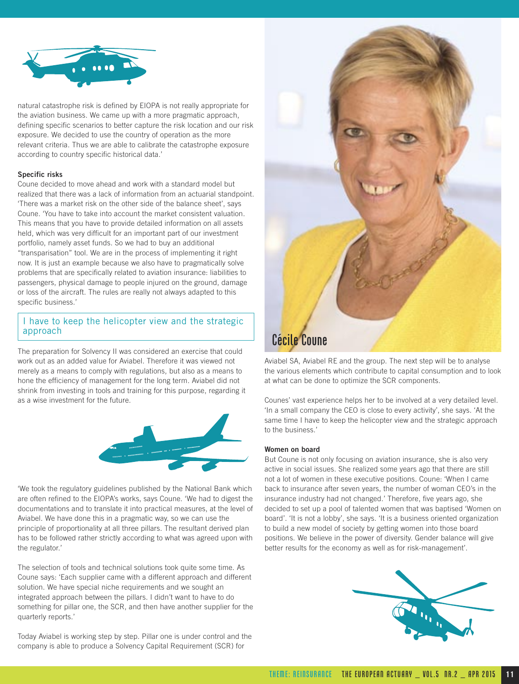

natural catastrophe risk is defined by EIOPA is not really appropriate for the aviation business. We came up with a more pragmatic approach, defining specific scenarios to better capture the risk location and our risk exposure. We decided to use the country of operation as the more relevant criteria. Thus we are able to calibrate the catastrophe exposure according to country specific historical data.'

#### **Specific risks**

Coune decided to move ahead and work with a standard model but realized that there was a lack of information from an actuarial standpoint. 'There was a market risk on the other side of the balance sheet', says Coune. 'You have to take into account the market consistent valuation. This means that you have to provide detailed information on all assets held, which was very difficult for an important part of our investment portfolio, namely asset funds. So we had to buy an additional "transparisation" tool. We are in the process of implementing it right now. It is just an example because we also have to pragmatically solve problems that are specifically related to aviation insurance: liabilities to passengers, physical damage to people injured on the ground, damage or loss of the aircraft. The rules are really not always adapted to this specific business.'

#### I have to keep the helicopter view and the strategic approach

The preparation for Solvency II was considered an exercise that could work out as an added value for Aviabel. Therefore it was viewed not merely as a means to comply with regulations, but also as a means to hone the efficiency of management for the long term. Aviabel did not shrink from investing in tools and training for this purpose, regarding it as a wise investment for the future.



'We took the regulatory guidelines published by the National Bank which are often refined to the EIOPA's works, says Coune. 'We had to digest the documentations and to translate it into practical measures, at the level of Aviabel. We have done this in a pragmatic way, so we can use the principle of proportionality at all three pillars. The resultant derived plan has to be followed rather strictly according to what was agreed upon with the regulator.'

The selection of tools and technical solutions took quite some time. As Coune says: 'Each supplier came with a different approach and different solution. We have special niche requirements and we sought an integrated approach between the pillars. I didn't want to have to do something for pillar one, the SCR, and then have another supplier for the quarterly reports.'

Today Aviabel is working step by step. Pillar one is under control and the company is able to produce a Solvency Capital Requirement (SCR) for



Aviabel SA, Aviabel RE and the group. The next step will be to analyse the various elements which contribute to capital consumption and to look at what can be done to optimize the SCR components.

Counes' vast experience helps her to be involved at a very detailed level. 'In a small company the CEO is close to every activity', she says. 'At the same time I have to keep the helicopter view and the strategic approach to the business.'

#### **Women on board**

But Coune is not only focusing on aviation insurance, she is also very active in social issues. She realized some years ago that there are still not a lot of women in these executive positions. Coune: 'When I came back to insurance after seven years, the number of woman CEO's in the insurance industry had not changed.' Therefore, five years ago, she decided to set up a pool of talented women that was baptised 'Women on board'. 'It is not a lobby', she says. 'It is a business oriented organization to build a new model of society by getting women into those board positions. We believe in the power of diversity. Gender balance will give better results for the economy as well as for risk-management'.

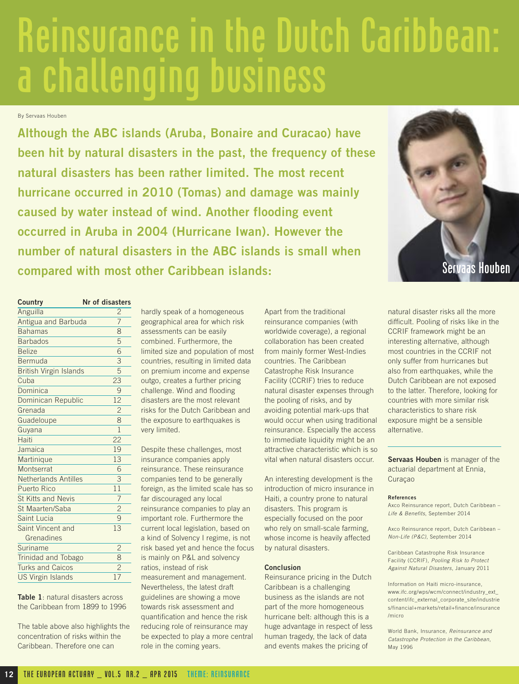## Reinsurance in the Dutch Caribbean: a challenging business

By Servaas Houben

**Although the ABC islands (Aruba, Bonaire and Curacao) have been hit by natural disasters in the past, the frequency of these natural disasters has been rather limited. The most recent hurricane occurred in 2010 (Tomas) and damage was mainly caused by water instead of wind. Another flooding event occurred in Aruba in 2004 (Hurricane Iwan). However the number of natural disasters in the ABC islands is small when compared with most other Caribbean islands:**



| Country                       | Nr of disasters |
|-------------------------------|-----------------|
| Anguilla                      | $\overline{c}$  |
| Antigua and Barbuda           | 7               |
| <b>Bahamas</b>                | 8               |
| <b>Barbados</b>               | 5               |
| <b>Belize</b>                 | 6               |
| <b>Bermuda</b>                | 3               |
| <b>British Virgin Islands</b> | 5               |
| Cuba                          | 23              |
| Dominica                      | 9               |
| Dominican Republic            | 12              |
| Grenada                       | $\overline{2}$  |
| Guadeloupe                    | 8               |
| Guyana                        | $\overline{1}$  |
| Haiti                         | 22              |
| Jamaica                       | 19              |
| Martinique                    | 13              |
| Montserrat                    | 6               |
| <b>Netherlands Antilles</b>   | 3               |
| <b>Puerto Rico</b>            | 11              |
| <b>St Kitts and Nevis</b>     | 7               |
| St Maarten/Saba               | $\overline{c}$  |
| Saint Lucia                   | 9               |
| Saint Vincent and             | 13              |
| Grenadines                    |                 |
| Suriname                      | $\overline{c}$  |
| <b>Trinidad and Tobago</b>    | 8               |
| <b>Turks and Caicos</b>       | $\overline{2}$  |
| <b>US Virgin Islands</b>      | 17              |

**Table 1**: natural disasters across the Caribbean from 1899 to 1996

The table above also highlights the concentration of risks within the Caribbean. Therefore one can

hardly speak of a homogeneous geographical area for which risk assessments can be easily combined. Furthermore, the limited size and population of most countries, resulting in limited data on premium income and expense outgo, creates a further pricing challenge. Wind and flooding disasters are the most relevant risks for the Dutch Caribbean and the exposure to earthquakes is very limited.

Despite these challenges, most insurance companies apply reinsurance. These reinsurance companies tend to be generally foreign, as the limited scale has so far discouraged any local reinsurance companies to play an important role. Furthermore the current local legislation, based on a kind of Solvency I regime, is not risk based yet and hence the focus is mainly on P&L and solvency ratios, instead of risk measurement and management. Nevertheless, the latest draft guidelines are showing a move towards risk assessment and quantification and hence the risk reducing role of reinsurance may be expected to play a more central role in the coming years.

Apart from the traditional reinsurance companies (with worldwide coverage), a regional collaboration has been created from mainly former West-Indies countries. The Caribbean Catastrophe Risk Insurance Facility (CCRIF) tries to reduce natural disaster expenses through the pooling of risks, and by avoiding potential mark-ups that would occur when using traditional reinsurance. Especially the access to immediate liquidity might be an attractive characteristic which is so vital when natural disasters occur.

An interesting development is the introduction of micro insurance in Haiti, a country prone to natural disasters. This program is especially focused on the poor who rely on small-scale farming, whose income is heavily affected by natural disasters.

#### **Conclusion**

Reinsurance pricing in the Dutch Caribbean is a challenging business as the islands are not part of the more homogeneous hurricane belt: although this is a huge advantage in respect of less human tragedy, the lack of data and events makes the pricing of

natural disaster risks all the more difficult. Pooling of risks like in the CCRIF framework might be an interesting alternative, although most countries in the CCRIF not only suffer from hurricanes but also from earthquakes, while the Dutch Caribbean are not exposed to the latter. Therefore, looking for countries with more similar risk characteristics to share risk exposure might be a sensible alternative.

**Servaas Houben** is manager of the actuarial department at Ennia, Curaçao

#### **References**

Axco Reinsurance report, Dutch Caribbean – Life & Benefits, September 2014

Axco Reinsurance report, Dutch Caribbean – Non-Life (P&C), September 2014

Caribbean Catastrophe Risk Insurance Facility (CCRIF), Pooling Risk to Protect Against Natural Disasters, January 2011

Information on Haiti micro-insurance, www.ifc.org/wps/wcm/connect/industry\_ext\_ content/ifc\_external\_corporate\_site/industrie s/financial+markets/retail+finance/insurance /micro

World Bank, Insurance, Reinsurance and Catastrophe Protection in the Caribbean, May 1996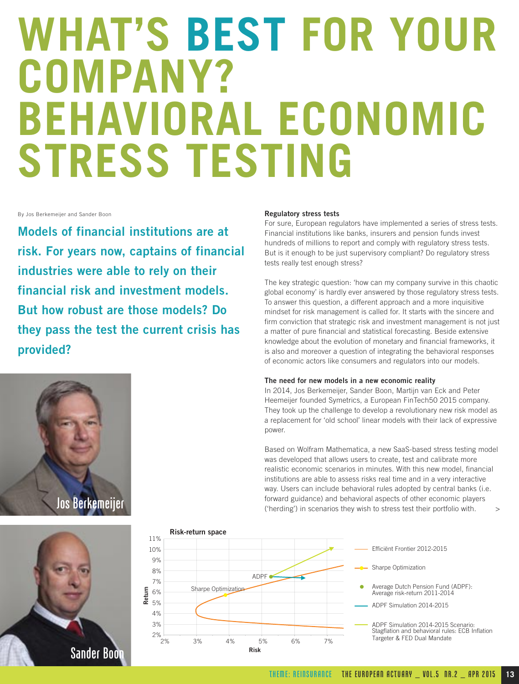## **WHAT'S BEST FOR YOUR COMPANY? BEHAVIORAL ECONOMIC STRESS TESTING**

By Jos Berkemeijer and Sander Boon

**Models of financial institutions are at risk. For years now, captains of financial industries were able to rely on their financial risk and investment models. But how robust are those models? Do they pass the test the current crisis has provided?** 





#### **Regulatory stress tests**

For sure, European regulators have implemented a series of stress tests. Financial institutions like banks, insurers and pension funds invest hundreds of millions to report and comply with regulatory stress tests. But is it enough to be just supervisory compliant? Do regulatory stress tests really test enough stress?

The key strategic question: 'how can my company survive in this chaotic global economy' is hardly ever answered by those regulatory stress tests. To answer this question, a different approach and a more inquisitive mindset for risk management is called for. It starts with the sincere and firm conviction that strategic risk and investment management is not just a matter of pure financial and statistical forecasting. Beside extensive knowledge about the evolution of monetary and financial frameworks, it is also and moreover a question of integrating the behavioral responses of economic actors like consumers and regulators into our models.

#### **The need for new models in a new economic reality**

In 2014, Jos Berkemeijer, Sander Boon, Martijn van Eck and Peter Heemeijer founded Symetrics, a European FinTech50 2015 company. They took up the challenge to develop a revolutionary new risk model as a replacement for 'old school' linear models with their lack of expressive power.

Based on Wolfram Mathematica, a new SaaS-based stress testing model was developed that allows users to create, test and calibrate more realistic economic scenarios in minutes. With this new model, financial institutions are able to assess risks real time and in a very interactive way. Users can include behavioral rules adopted by central banks (i.e. forward guidance) and behavioral aspects of other economic players ('herding') in scenarios they wish to stress test their portfolio with. >

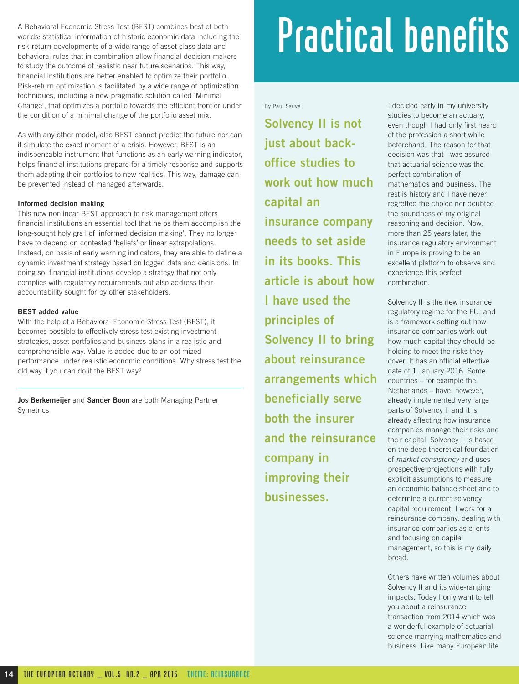A Behavioral Economic Stress Test (BEST) combines best of both worlds: statistical information of historic economic data including the risk-return developments of a wide range of asset class data and behavioral rules that in combination allow financial decision-makers to study the outcome of realistic near future scenarios. This way, financial institutions are better enabled to optimize their portfolio. Risk-return optimization is facilitated by a wide range of optimization techniques, including a new pragmatic solution called 'Minimal Change', that optimizes a portfolio towards the efficient frontier under the condition of a minimal change of the portfolio asset mix.

As with any other model, also BEST cannot predict the future nor can it simulate the exact moment of a crisis. However, BEST is an indispensable instrument that functions as an early warning indicator, helps financial institutions prepare for a timely response and supports them adapting their portfolios to new realities. This way, damage can be prevented instead of managed afterwards.

#### **Informed decision making**

This new nonlinear BEST approach to risk management offers financial institutions an essential tool that helps them accomplish the long-sought holy grail of 'informed decision making'. They no longer have to depend on contested 'beliefs' or linear extrapolations. Instead, on basis of early warning indicators, they are able to define a dynamic investment strategy based on logged data and decisions. In doing so, financial institutions develop a strategy that not only complies with regulatory requirements but also address their accountability sought for by other stakeholders.

#### **BEST added value**

With the help of a Behavioral Economic Stress Test (BEST), it becomes possible to effectively stress test existing investment strategies, asset portfolios and business plans in a realistic and comprehensible way. Value is added due to an optimized performance under realistic economic conditions. Why stress test the old way if you can do it the BEST way?

**Jos Berkemeijer** and **Sander Boon** are both Managing Partner **Symetrics** 

## Practical benefits

By Paul Sauvé

**Solvency II is not just about backoffice studies to work out how much capital an insurance company needs to set aside in its books. This article is about how I have used the principles of Solvency II to bring about reinsurance arrangements which beneficially serve both the insurer and the reinsurance company in improving their businesses.** 

I decided early in my university studies to become an actuary, even though I had only first heard of the profession a short while beforehand. The reason for that decision was that I was assured that actuarial science was the perfect combination of mathematics and business. The rest is history and I have never regretted the choice nor doubted the soundness of my original reasoning and decision. Now, more than 25 years later, the insurance regulatory environment in Europe is proving to be an excellent platform to observe and experience this perfect combination.

Solvency II is the new insurance regulatory regime for the EU, and is a framework setting out how insurance companies work out how much capital they should be holding to meet the risks they cover. It has an official effective date of 1 January 2016. Some countries – for example the Netherlands – have, however, already implemented very large parts of Solvency II and it is already affecting how insurance companies manage their risks and their capital. Solvency II is based on the deep theoretical foundation of market consistency and uses prospective projections with fully explicit assumptions to measure an economic balance sheet and to determine a current solvency capital requirement. I work for a reinsurance company, dealing with insurance companies as clients and focusing on capital management, so this is my daily bread.

Others have written volumes about Solvency II and its wide-ranging impacts. Today I only want to tell you about a reinsurance transaction from 2014 which was a wonderful example of actuarial science marrying mathematics and business. Like many European life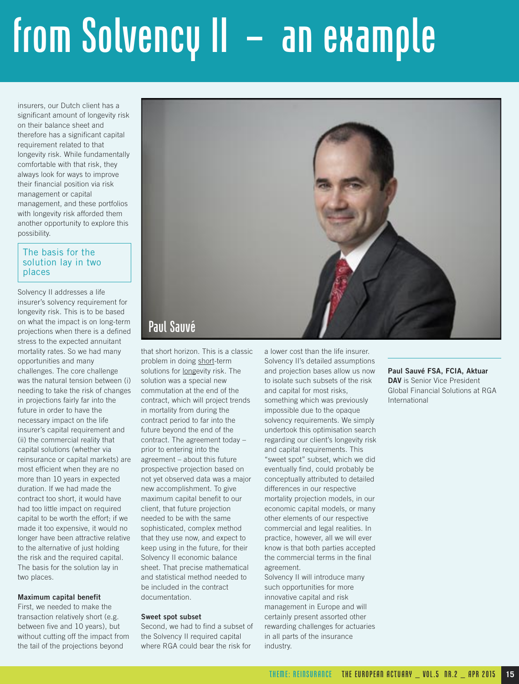## from Solvency II – an example

insurers, our Dutch client has a significant amount of longevity risk on their balance sheet and therefore has a significant capital requirement related to that longevity risk. While fundamentally comfortable with that risk, they always look for ways to improve their financial position via risk management or capital management, and these portfolios with longevity risk afforded them another opportunity to explore this possibility.

#### The basis for the solution lay in two places

Solvency II addresses a life insurer's solvency requirement for longevity risk. This is to be based on what the impact is on long-term projections when there is a defined stress to the expected annuitant mortality rates. So we had many opportunities and many challenges. The core challenge was the natural tension between (i) needing to take the risk of changes in projections fairly far into the future in order to have the necessary impact on the life insurer's capital requirement and (ii) the commercial reality that capital solutions (whether via reinsurance or capital markets) are most efficient when they are no more than 10 years in expected duration. If we had made the contract too short, it would have had too little impact on required capital to be worth the effort; if we made it too expensive, it would no longer have been attractive relative to the alternative of just holding the risk and the required capital. The basis for the solution lay in two places.

#### **Maximum capital benefit**

First, we needed to make the transaction relatively short (e.g. between five and 10 years), but without cutting off the impact from the tail of the projections beyond



that short horizon. This is a classic problem in doing short-term solutions for longevity risk. The solution was a special new commutation at the end of the contract, which will project trends in mortality from during the contract period to far into the future beyond the end of the contract. The agreement today – prior to entering into the agreement – about this future prospective projection based on not yet observed data was a major new accomplishment. To give maximum capital benefit to our client, that future projection needed to be with the same sophisticated, complex method that they use now, and expect to keep using in the future, for their Solvency II economic balance sheet. That precise mathematical and statistical method needed to be included in the contract documentation.

#### **Sweet spot subset**

Second, we had to find a subset of the Solvency II required capital where RGA could bear the risk for

a lower cost than the life insurer. Solvency II's detailed assumptions and projection bases allow us now to isolate such subsets of the risk and capital for most risks, something which was previously impossible due to the opaque solvency requirements. We simply undertook this optimisation search regarding our client's longevity risk and capital requirements. This "sweet spot" subset, which we did eventually find, could probably be conceptually attributed to detailed differences in our respective mortality projection models, in our economic capital models, or many other elements of our respective commercial and legal realities. In practice, however, all we will ever know is that both parties accepted the commercial terms in the final agreement.

Solvency II will introduce many such opportunities for more innovative capital and risk management in Europe and will certainly present assorted other rewarding challenges for actuaries in all parts of the insurance industry.

**Paul Sauvé FSA, FCIA, Aktuar DAV** is Senior Vice President Global Financial Solutions at RGA International